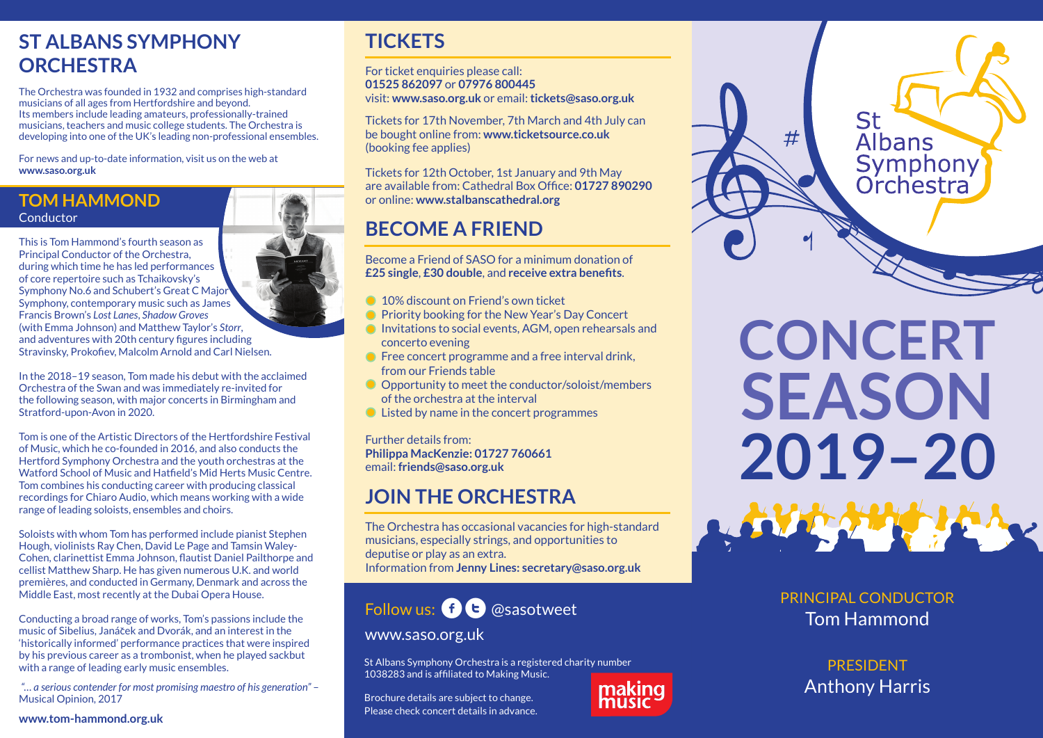# **ST ALBANS SYMPHONY ORCHESTRA**

The Orchestra was founded in 1932 and comprises high-standard musicians of all ages from Hertfordshire and beyond. Its members include leading amateurs, professionally-trained musicians, teachers and music college students. The Orchestra is developing into one of the UK's leading non-professional ensembles.

For news and up-to-date information, visit us on the web at **www.saso.org.uk**

## **TOM HAMMOND** Conductor

This is Tom Hammond's fourth season as Principal Conductor of the Orchestra, during which time he has led performances of core repertoire such as Tchaikovsky's Symphony No.6 and Schubert's Great C Major Symphony, contemporary music such as James Francis Brown's *Lost Lanes*, *Shadow Groves* (with Emma Johnson) and Matthew Taylor's *Storr*, and adventures with 20th century figures including Stravinsky, Prokofiev, Malcolm Arnold and Carl Nielsen.

In the 2018–19 season, Tom made his debut with the acclaimed Orchestra of the Swan and was immediately re-invited for the following season, with major concerts in Birmingham and Stratford-upon-Avon in 2020.

Tom is one of the Artistic Directors of the Hertfordshire Festival of Music, which he co-founded in 2016, and also conducts the Hertford Symphony Orchestra and the youth orchestras at the Watford School of Music and Hatfield's Mid Herts Music Centre. Tom combines his conducting career with producing classical recordings for Chiaro Audio, which means working with a wide range of leading soloists, ensembles and choirs.

Soloists with whom Tom has performed include pianist Stephen Hough, violinists Ray Chen, David Le Page and Tamsin Waley-Cohen, clarinettist Emma Johnson, flautist Daniel Pailthorpe and cellist Matthew Sharp. He has given numerous U.K. and world premières, and conducted in Germany, Denmark and across the Middle East, most recently at the Dubai Opera House.

Conducting a broad range of works, Tom's passions include the music of Sibelius, Janáček and Dvorák, and an interest in the 'historically informed' performance practices that were inspired by his previous career as a trombonist, when he played sackbut with a range of leading early music ensembles.

*"… a serious contender for most promising maestro of his generation"* – Musical Opinion, 2017

#### **www.tom-hammond.org.uk**

## **TICKETS**

For ticket enquiries please call: **01525 862097** or **07976 800445** visit: **www.saso.org.uk** or email: **tickets@saso.org.uk**

Tickets for 17th November, 7th March and 4th July can be bought online from: **www.ticketsource.co.uk** (booking fee applies)

Tickets for 12th October, 1st January and 9th May are available from: Cathedral Box Office: **01727 890290**  or online: **www.stalbanscathedral.org**

# **BECOME A FRIEND**

Become a Friend of SASO for a minimum donation of **£25 single**, **£30 double**, and **receive extra benefits**.

- **10% discount on Friend's own ticket**
- **Priority booking for the New Year's Day Concert**
- Invitations to social events, AGM, open rehearsals and concerto evening
- **•** Free concert programme and a free interval drink, from our Friends table
- O Opportunity to meet the conductor/soloist/members of the orchestra at the interval
- Listed by name in the concert programmes

Further details from: **Philippa MacKenzie: 01727 760661** email: **friends@saso.org.uk**

# **JOIN THE ORCHESTRA**

The Orchestra has occasional vacancies for high-standard musicians, especially strings, and opportunities to deputise or play as an extra. Information from **Jenny Lines: secretary@saso.org.uk**

# Follow us:  $\mathbf{f}$   $\mathbf{t}$   $\alpha$  sasotweet

## www.saso.org.uk

St Albans Symphony Orchestra is a registered charity number 1038283 and is affiliated to Making Music.

Brochure details are subject to change. Please check concert details in advance.





**CONCERT SEASON 2019–20**

> PRINCIPAL CONDUCTOR Tom Hammond

> > PRESIDENT Anthony Harris